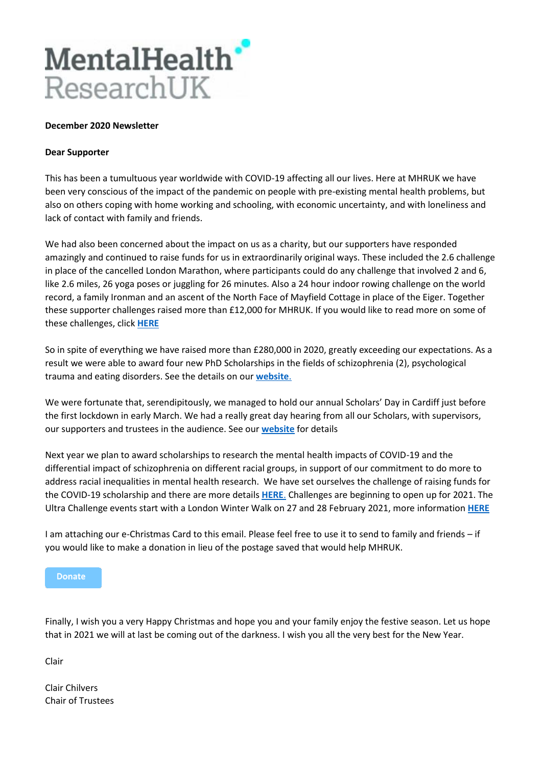

## **December 2020 Newsletter**

## **Dear Supporter**

This has been a tumultuous year worldwide with COVID-19 affecting all our lives. Here at MHRUK we have been very conscious of the impact of the pandemic on people with pre-existing mental health problems, but also on others coping with home working and schooling, with economic uncertainty, and with loneliness and lack of contact with family and friends.

We had also been concerned about the impact on us as a charity, but our supporters have responded amazingly and continued to raise funds for us in extraordinarily original ways. These included the 2.6 challenge in place of the cancelled London Marathon, where participants could do any challenge that involved 2 and 6, like 2.6 miles, 26 yoga poses or juggling for 26 minutes. Also a 24 hour indoor rowing challenge on the world record, a family Ironman and an ascent of the North Face of Mayfield Cottage in place of the Eiger. Together these supporter challenges raised more than £12,000 for MHRUK. If you would like to read more on some of these challenges, click **[HERE](http://www.mentalhealthresearchuk.org.uk/fundraising-events-and-challenges)**

So in spite of everything we have raised more than £280,000 in 2020, greatly exceeding our expectations. As a result we were able to award four new PhD Scholarships in the fields of schizophrenia (2), psychological trauma and eating disorders. See the details on our **[website](http://www.mentalhealthresearchuk.org.uk/mental-health-research-uk-awards)**.

We were fortunate that, serendipitously, we managed to hold our annual Scholars' Day in Cardiff just before the first lockdown in early March. We had a really great day hearing from all our Scholars, with supervisors, our supporters and trustees in the audience. See our **[website](http://www.mentalhealthresearchuk.org.uk/mental-health-research-uk-awards/scholars-day-2020)** for details

Next year we plan to award scholarships to research the mental health impacts of COVID-19 and the differential impact of schizophrenia on different racial groups, in support of our commitment to do more to address racial inequalities in mental health research. We have set ourselves the challenge of raising funds for the COVID-19 scholarship and there are more details **[HERE](http://www.mentalhealthresearchuk.org.uk/mental-health-research-uk-campaigns-1)**. Challenges are beginning to open up for 2021. The Ultra Challenge events start with a London Winter Walk on 27 and 28 February 2021, more information **[HERE](https://ultrachallenge.com/london-winter-walk/)**

I am attaching our e-Christmas Card to this email. Please feel free to use it to send to family and friends – if you would like to make a donation in lieu of the postage saved that would help MHRUK.

**Donate** 

Finally, I wish you a very Happy Christmas and hope you and your family enjoy the festive season. Let us hope that in 2021 we will at last be coming out of the darkness. I wish you all the very best for the New Year.

Clair

Clair Chilvers Chair of Trustees